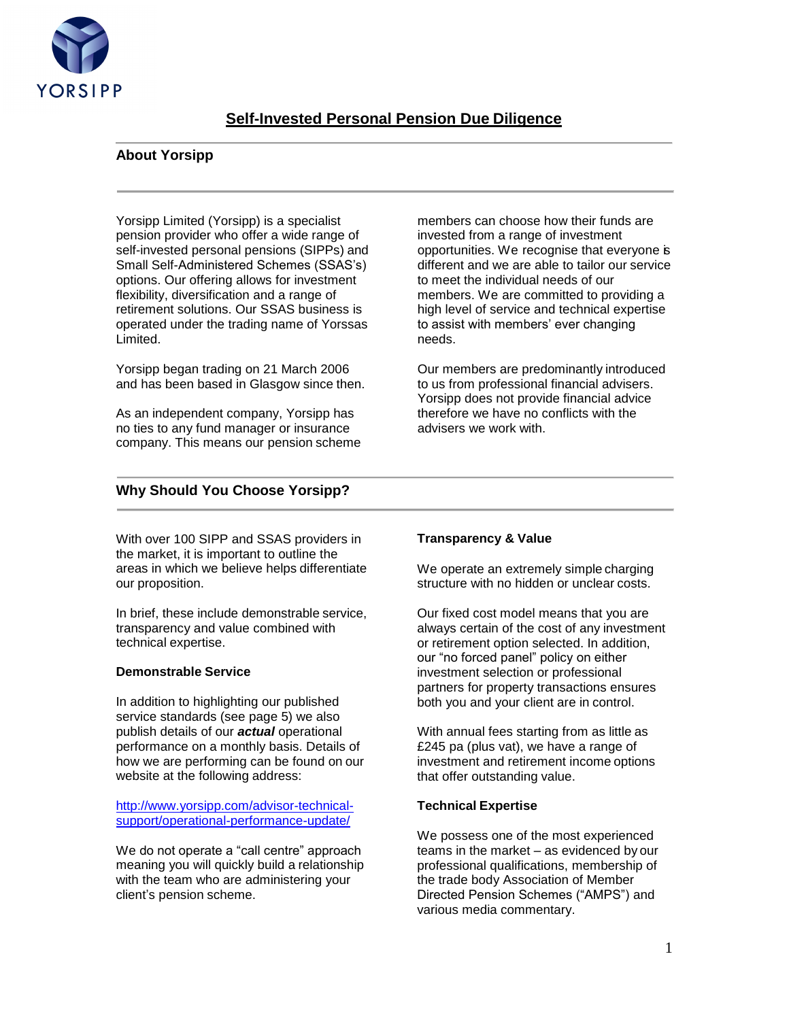

# **Self-Invested Personal Pension Due Diligence**

# **About Yorsipp**

Yorsipp Limited (Yorsipp) is a specialist pension provider who offer a wide range of self-invested personal pensions (SIPPs) and Small Self-Administered Schemes (SSAS's) options. Our offering allows for investment flexibility, diversification and a range of retirement solutions. Our SSAS business is operated under the trading name of Yorssas Limited.

Yorsipp began trading on 21 March 2006 and has been based in Glasgow since then.

As an independent company, Yorsipp has no ties to any fund manager or insurance company. This means our pension scheme members can choose how their funds are invested from a range of investment opportunities. We recognise that everyone is different and we are able to tailor our service to meet the individual needs of our members. We are committed to providing a high level of service and technical expertise to assist with members' ever changing needs.

Our members are predominantly introduced to us from professional financial advisers. Yorsipp does not provide financial advice therefore we have no conflicts with the advisers we work with.

# **Why Should You Choose Yorsipp?**

With over 100 SIPP and SSAS providers in the market, it is important to outline the areas in which we believe helps differentiate our proposition.

In brief, these include demonstrable service, transparency and value combined with technical expertise.

## **Demonstrable Service**

In addition to highlighting our published service standards (see page 5) we also publish details of our *actual* operational performance on a monthly basis. Details of how we are performing can be found on our website at the following address:

[http://www.yorsipp.com/advisor-technical](http://www.yorsipp.com/advisor-technical-support/operational-performance-update/)[support/operational-performance-update/](http://www.yorsipp.com/advisor-technical-support/operational-performance-update/)

We do not operate a "call centre" approach meaning you will quickly build a relationship with the team who are administering your client's pension scheme.

## **Transparency & Value**

We operate an extremely simple charging structure with no hidden or unclear costs.

Our fixed cost model means that you are always certain of the cost of any investment or retirement option selected. In addition, our "no forced panel" policy on either investment selection or professional partners for property transactions ensures both you and your client are in control.

With annual fees starting from as little as £245 pa (plus vat), we have a range of investment and retirement income options that offer outstanding value.

#### **Technical Expertise**

We possess one of the most experienced teams in the market – as evidenced by our professional qualifications, membership of the trade body Association of Member Directed Pension Schemes ("AMPS") and various media commentary.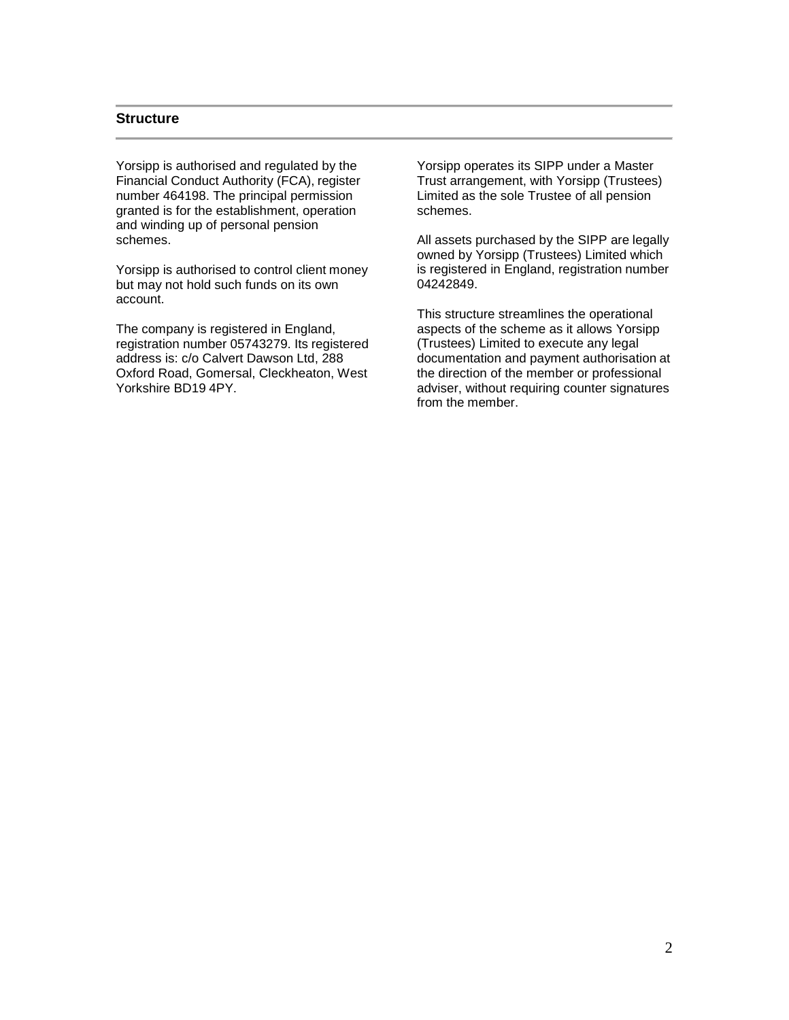### **Structure**

Yorsipp is authorised and regulated by the Financial Conduct Authority (FCA), register number 464198. The principal permission granted is for the establishment, operation and winding up of personal pension schemes.

Yorsipp is authorised to control client money but may not hold such funds on its own account.

The company is registered in England, registration number 05743279. Its registered address is: c/o Calvert Dawson Ltd, 288 Oxford Road, Gomersal, Cleckheaton, West Yorkshire BD19 4PY.

Yorsipp operates its SIPP under a Master Trust arrangement, with Yorsipp (Trustees) Limited as the sole Trustee of all pension schemes.

All assets purchased by the SIPP are legally owned by Yorsipp (Trustees) Limited which is registered in England, registration number 04242849.

This structure streamlines the operational aspects of the scheme as it allows Yorsipp (Trustees) Limited to execute any legal documentation and payment authorisation at the direction of the member or professional adviser, without requiring counter signatures from the member.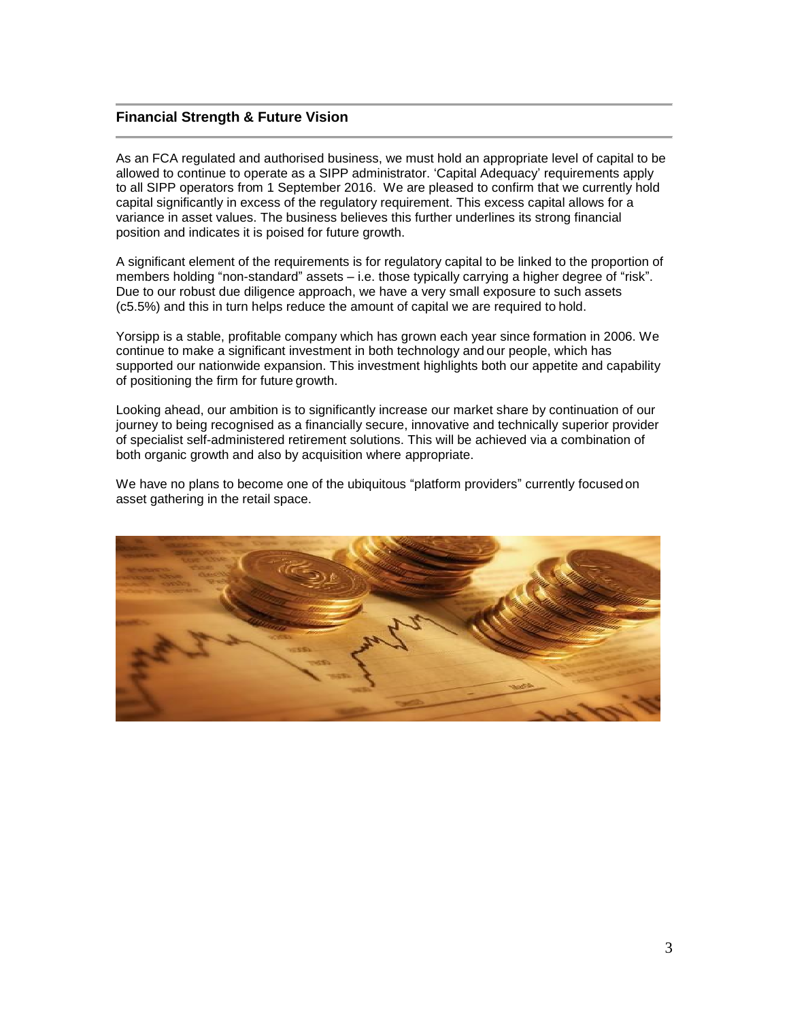# **Financial Strength & Future Vision**

As an FCA regulated and authorised business, we must hold an appropriate level of capital to be allowed to continue to operate as a SIPP administrator. 'Capital Adequacy' requirements apply to all SIPP operators from 1 September 2016. We are pleased to confirm that we currently hold capital significantly in excess of the regulatory requirement. This excess capital allows for a variance in asset values. The business believes this further underlines its strong financial position and indicates it is poised for future growth.

A significant element of the requirements is for regulatory capital to be linked to the proportion of members holding "non-standard" assets – i.e. those typically carrying a higher degree of "risk". Due to our robust due diligence approach, we have a very small exposure to such assets (c5.5%) and this in turn helps reduce the amount of capital we are required to hold.

Yorsipp is a stable, profitable company which has grown each year since formation in 2006. We continue to make a significant investment in both technology and our people, which has supported our nationwide expansion. This investment highlights both our appetite and capability of positioning the firm for future growth.

Looking ahead, our ambition is to significantly increase our market share by continuation of our journey to being recognised as a financially secure, innovative and technically superior provider of specialist self-administered retirement solutions. This will be achieved via a combination of both organic growth and also by acquisition where appropriate.

We have no plans to become one of the ubiquitous "platform providers" currently focusedon asset gathering in the retail space.

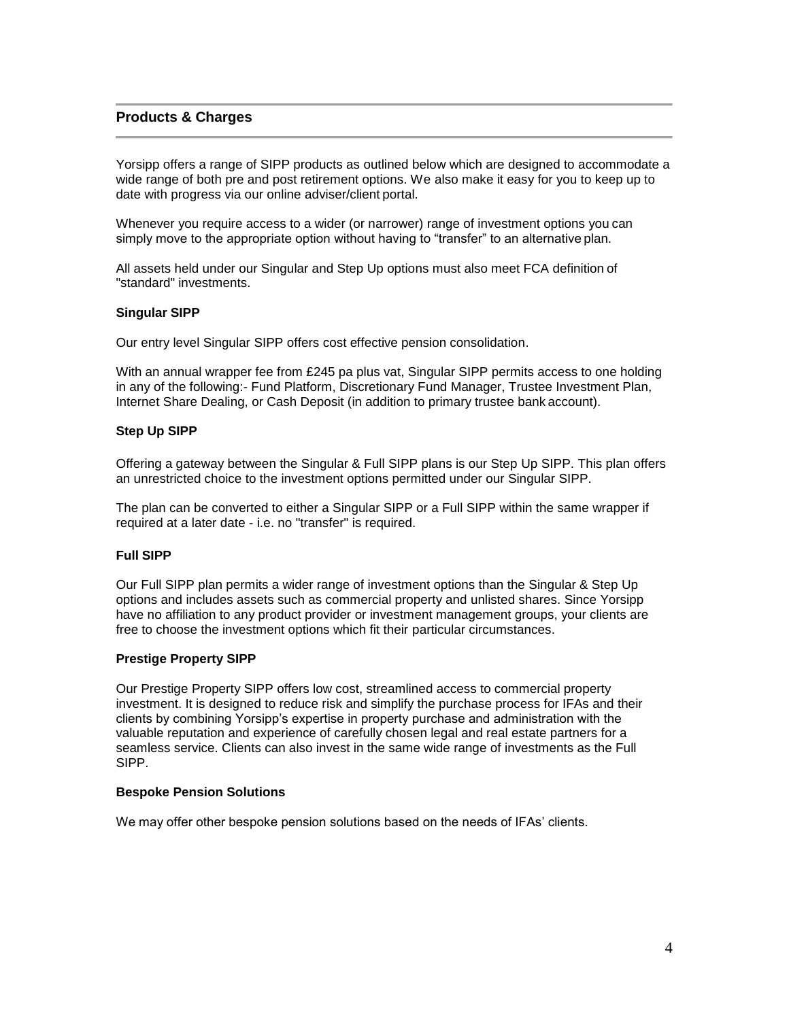# **Products & Charges**

Yorsipp offers a range of SIPP products as outlined below which are designed to accommodate a wide range of both pre and post retirement options. We also make it easy for you to keep up to date with progress via our online adviser/client portal.

Whenever you require access to a wider (or narrower) range of investment options you can simply move to the appropriate option without having to "transfer" to an alternative plan.

All assets held under our Singular and Step Up options must also meet FCA definition of "standard" investments.

### **Singular SIPP**

Our entry level Singular SIPP offers cost effective pension consolidation.

With an annual wrapper fee from £245 pa plus vat, Singular SIPP permits access to one holding in any of the following:- Fund Platform, Discretionary Fund Manager, Trustee Investment Plan, Internet Share Dealing, or Cash Deposit (in addition to primary trustee bank account).

### **Step Up SIPP**

Offering a gateway between the Singular & Full SIPP plans is our Step Up SIPP. This plan offers an unrestricted choice to the investment options permitted under our Singular SIPP.

The plan can be converted to either a Singular SIPP or a Full SIPP within the same wrapper if required at a later date - i.e. no "transfer" is required.

## **Full SIPP**

Our Full SIPP plan permits a wider range of investment options than the Singular & Step Up options and includes assets such as commercial property and unlisted shares. Since Yorsipp have no affiliation to any product provider or investment management groups, your clients are free to choose the investment options which fit their particular circumstances.

## **Prestige Property SIPP**

Our Prestige Property SIPP offers low cost, streamlined access to commercial property investment. It is designed to reduce risk and simplify the purchase process for IFAs and their clients by combining Yorsipp's expertise in property purchase and administration with the valuable reputation and experience of carefully chosen legal and real estate partners for a seamless service. Clients can also invest in the same wide range of investments as the Full SIPP.

#### **Bespoke Pension Solutions**

We may offer other bespoke pension solutions based on the needs of IFAs' clients.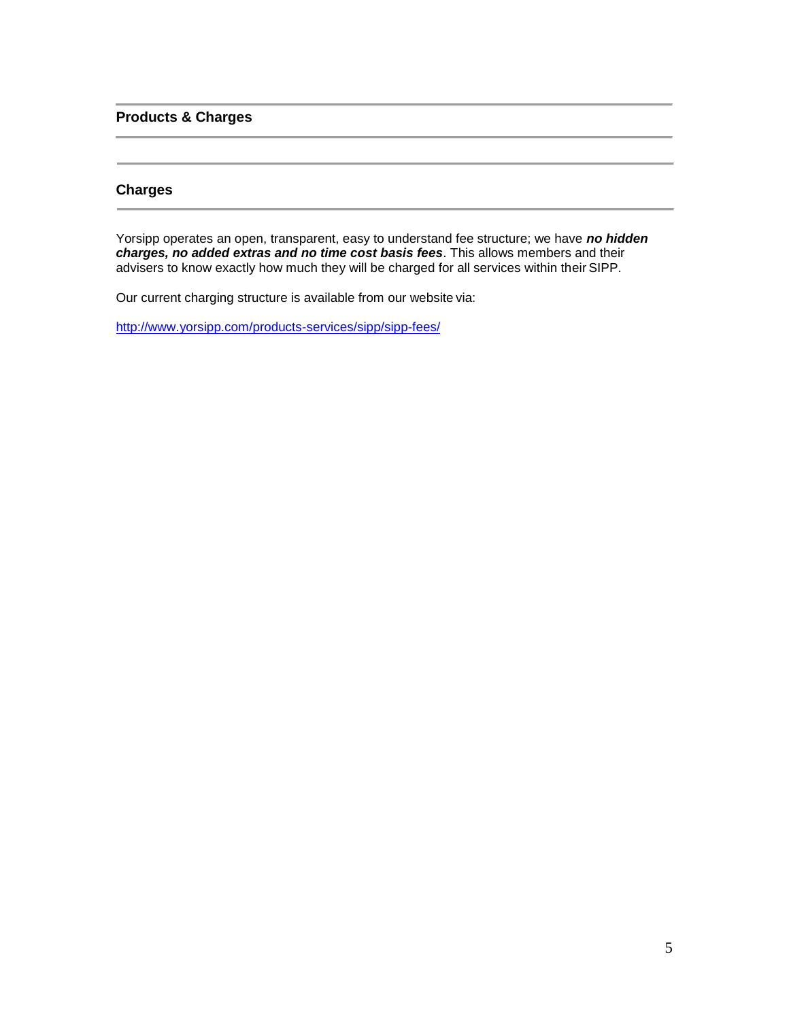# **Products & Charges**

# **Charges**

Yorsipp operates an open, transparent, easy to understand fee structure; we have *no hidden charges, no added extras and no time cost basis fees*. This allows members and their advisers to know exactly how much they will be charged for all services within their SIPP.

Our current charging structure is available from our website via:

<http://www.yorsipp.com/products-services/sipp/sipp-fees/>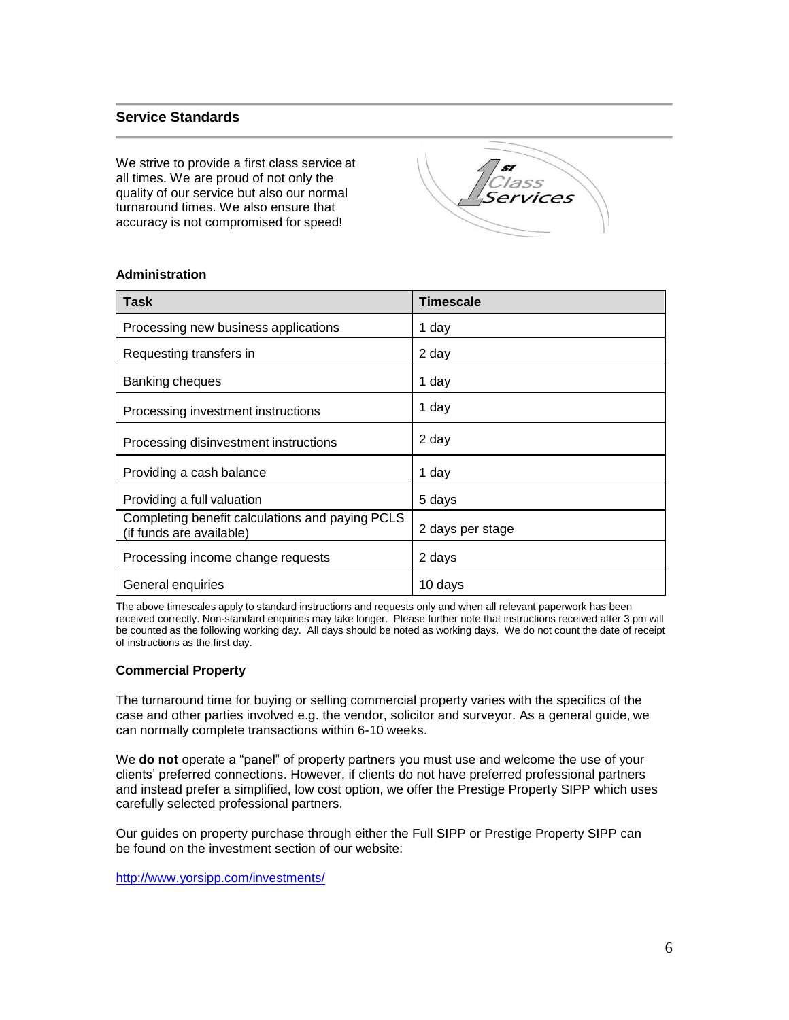# **Service Standards**

We strive to provide a first class service at all times. We are proud of not only the quality of our service but also our normal turnaround times. We also ensure that accuracy is not compromised for speed!



| Task                                                                        | <b>Timescale</b> |
|-----------------------------------------------------------------------------|------------------|
| Processing new business applications                                        | 1 day            |
| Requesting transfers in                                                     | 2 day            |
| Banking cheques                                                             | 1 day            |
| Processing investment instructions                                          | 1 day            |
| Processing disinvestment instructions                                       | 2 day            |
| Providing a cash balance                                                    | 1 day            |
| Providing a full valuation                                                  | 5 days           |
| Completing benefit calculations and paying PCLS<br>(if funds are available) | 2 days per stage |
| Processing income change requests                                           | 2 days           |
| General enquiries                                                           | 10 days          |

# **Administration**

The above timescales apply to standard instructions and requests only and when all relevant paperwork has been received correctly. Non-standard enquiries may take longer. Please further note that instructions received after 3 pm will be counted as the following working day. All days should be noted as working days. We do not count the date of receipt of instructions as the first day.

## **Commercial Property**

The turnaround time for buying or selling commercial property varies with the specifics of the case and other parties involved e.g. the vendor, solicitor and surveyor. As a general guide, we can normally complete transactions within 6-10 weeks.

We **do not** operate a "panel" of property partners you must use and welcome the use of your clients' preferred connections. However, if clients do not have preferred professional partners and instead prefer a simplified, low cost option, we offer the Prestige Property SIPP which uses carefully selected professional partners.

Our guides on property purchase through either the Full SIPP or Prestige Property SIPP can be found on the investment section of our website:

<http://www.yorsipp.com/investments/>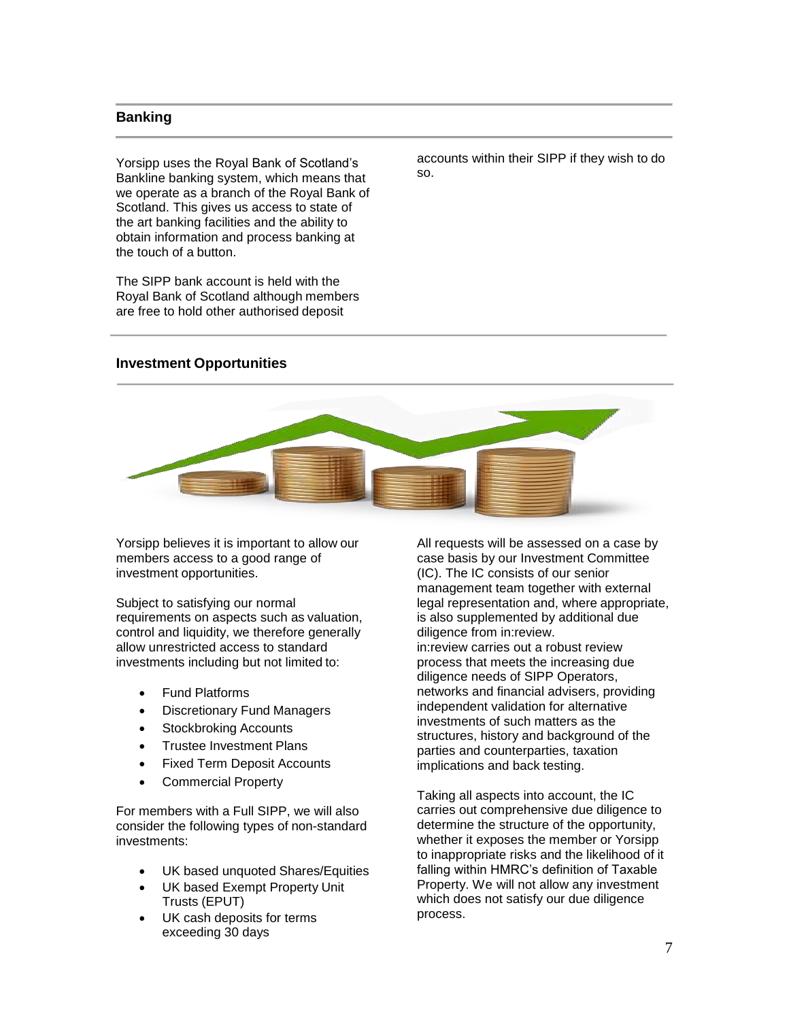## **Banking**

Yorsipp uses the Royal Bank of Scotland's Bankline banking system, which means that we operate as a branch of the Royal Bank of Scotland. This gives us access to state of the art banking facilities and the ability to obtain information and process banking at the touch of a button.

The SIPP bank account is held with the Royal Bank of Scotland although members are free to hold other authorised deposit

accounts within their SIPP if they wish to do so.

## **Investment Opportunities**



Yorsipp believes it is important to allow our members access to a good range of investment opportunities.

Subject to satisfying our normal requirements on aspects such as valuation, control and liquidity, we therefore generally allow unrestricted access to standard investments including but not limited to:

- Fund Platforms
- Discretionary Fund Managers
- Stockbroking Accounts
- Trustee Investment Plans
- Fixed Term Deposit Accounts
- Commercial Property

For members with a Full SIPP, we will also consider the following types of non-standard investments:

- UK based unquoted Shares/Equities
- UK based Exempt Property Unit Trusts (EPUT)
- UK cash deposits for terms exceeding 30 days

All requests will be assessed on a case by case basis by our Investment Committee (IC). The IC consists of our senior management team together with external legal representation and, where appropriate, is also supplemented by additional due diligence from in:review. in:review carries out a robust review process that meets the increasing due diligence needs of SIPP Operators, networks and financial advisers, providing independent validation for alternative investments of such matters as the structures, history and background of the parties and counterparties, taxation implications and back testing.

Taking all aspects into account, the IC carries out comprehensive due diligence to determine the structure of the opportunity, whether it exposes the member or Yorsipp to inappropriate risks and the likelihood of it falling within HMRC's definition of Taxable Property. We will not allow any investment which does not satisfy our due diligence process.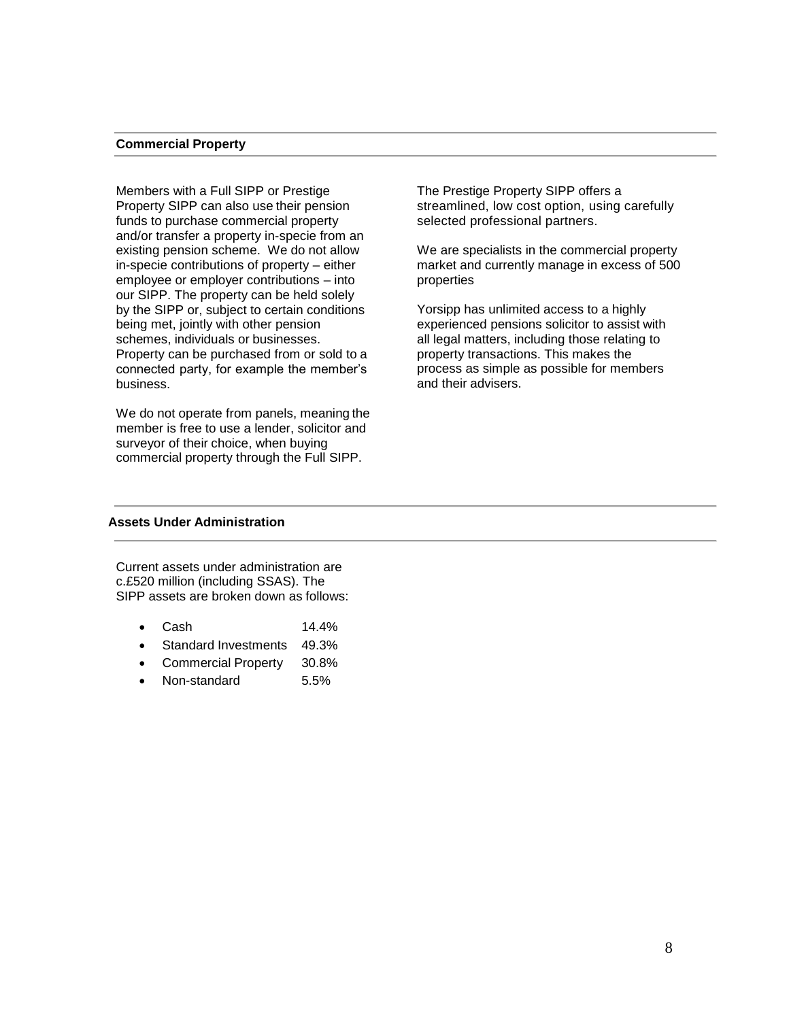#### **Commercial Property**

Members with a Full SIPP or Prestige Property SIPP can also use their pension funds to purchase commercial property and/or transfer a property in-specie from an existing pension scheme. We do not allow in-specie contributions of property – either employee or employer contributions – into our SIPP. The property can be held solely by the SIPP or, subject to certain conditions being met, jointly with other pension schemes, individuals or businesses. Property can be purchased from or sold to a connected party, for example the member's business.

We do not operate from panels, meaning the member is free to use a lender, solicitor and surveyor of their choice, when buying commercial property through the Full SIPP.

The Prestige Property SIPP offers a streamlined, low cost option, using carefully selected professional partners.

We are specialists in the commercial property market and currently manage in excess of 500 properties

Yorsipp has unlimited access to a highly experienced pensions solicitor to assist with all legal matters, including those relating to property transactions. This makes the process as simple as possible for members and their advisers.

### **Assets Under Administration**

Current assets under administration are c.£520 million (including SSAS). The SIPP assets are broken down as follows:

- Cash 14.4%
- Standard Investments 49.3%
- Commercial Property 30.8%
- Non-standard 5.5%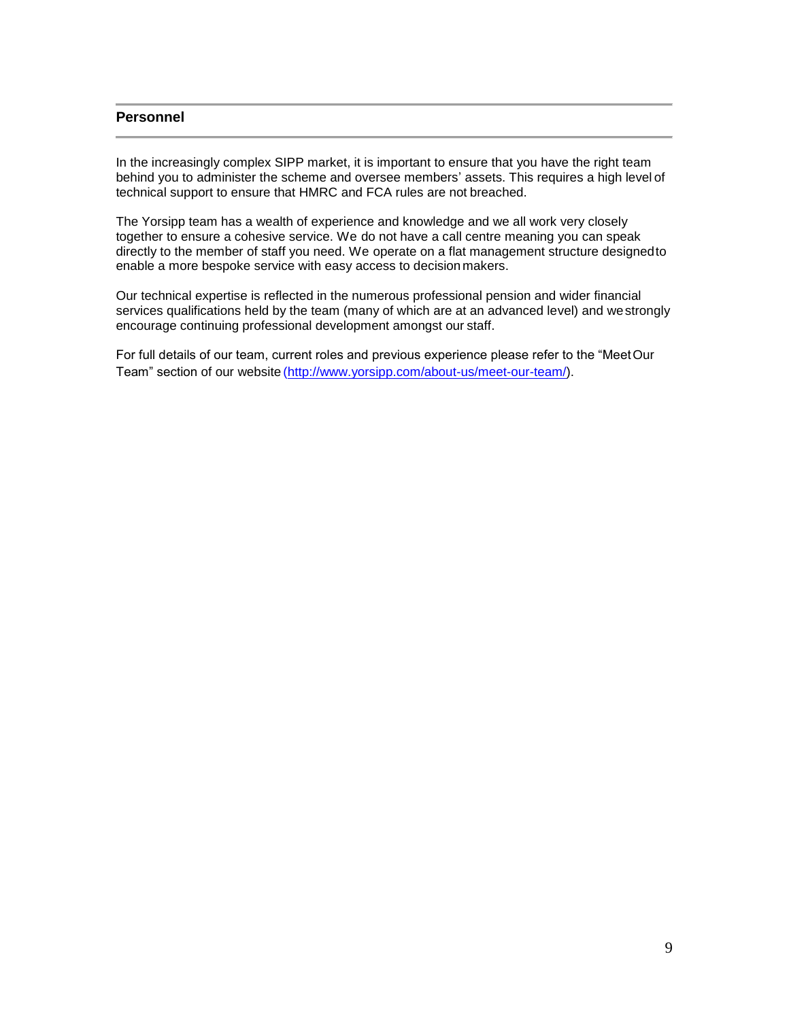# **Personnel**

In the increasingly complex SIPP market, it is important to ensure that you have the right team behind you to administer the scheme and oversee members' assets. This requires a high level of technical support to ensure that HMRC and FCA rules are not breached.

The Yorsipp team has a wealth of experience and knowledge and we all work very closely together to ensure a cohesive service. We do not have a call centre meaning you can speak directly to the member of staff you need. We operate on a flat management structure designedto enable a more bespoke service with easy access to decision makers.

Our technical expertise is reflected in the numerous professional pension and wider financial services qualifications held by the team (many of which are at an advanced level) and westrongly encourage continuing professional development amongst our staff.

For full details of our team, current roles and previous experience please refer to the "MeetOur Team" section of our website [\(http://www.yorsipp.com/about-us/meet-our-team/\)](http://www.yorsipp.com/about-us/meet-our-team/).